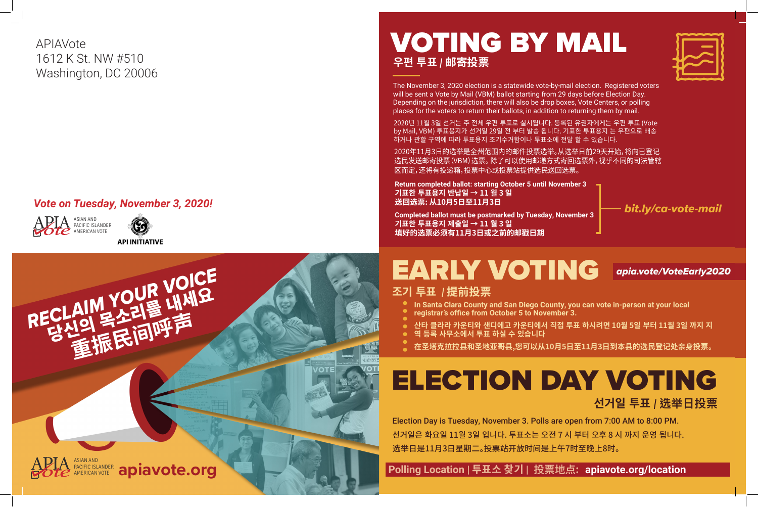# EARLY VOTING *apia.vote/VoteEarly2020*

# ELECTION DAY VOTING

**선거일 투표** *|* **选举日投票**

 **Polling Location | 투표소 찾기 | 投票地点: apiavote.org/location**





## VOTING BY MAIL **우편 투표** *|* **邮寄投票**

The November 3, 2020 election is a statewide vote-by-mail election. Registered voters will be sent a Vote by Mail (VBM) ballot starting from 29 days before Election Day. Depending on the jurisdiction, there will also be drop boxes, Vote Centers, or polling places for the voters to return their ballots, in addition to returning them by mail.

**Return completed ballot: starting October 5 until November 3 기표한 투표용지 반납일 → 11 월 3 일 送回选票: 从10月5日至11月3日**

**Completed ballot must be postmarked by Tuesday, November 3 기표한 투표용지 제출일 → 11 월 3 일 填好的选票必须有11月3日或之前的邮戳日期**

2020년 11월 3일 선거는 주 전체 우편 투표로 실시됩니다. 등록된 유권자에게는 우편 투표 (Vote by Mail, VBM) 투표용지가 선거일 29일 전 부터 발송 됩니다. 기표한 투표용지 는 우편으로 배송 하거나 관할 구역에 따라 투표용지 조기수거함이나 투표소에 전달 할 수 있습니다.

2020年11月3日的选举是全州范围内的邮件投票选举。从选举日前29天开始,将向已登记 选民发送邮寄投票(VBM)选票。 除了可以使用邮递方式寄回选票外,视乎不同的司法管辖 区而定,还将有投递箱,投票中心或投票站提供选民送回选票。

*bit.ly/ca-vote-mail*





### *Vote on Tuesday, November 3, 2020!*

APIAVote 1612 K St. NW #510 Washington, DC 20006

**In Santa Clara County and San Diego County, you can vote in-person at your local** 

- **조기 투표** *|* **提前投票**
	-
	- **registrar's office from October 5 to November 3.**
	-
	- **역 등록 사무소에서 투표 하실 수 있습니다**
	-

**산타 클라라 카운티와 샌디에고 카운티에서 직접 투표 하시려면 10월 5일 부터 11월 3일 까지 지**

**在圣塔克拉拉县和圣地亚哥县,您可以从10月5日至11月3日到本县的选民登记处亲身投票。** 

Election Day is Tuesday, November 3. Polls are open from 7:00 AM to 8:00 PM. 선거일은 화요일 11월 3일 입니다. 투표소는 오전 7 시 부터 오후 8 시 까지 운영 됩니다. 选举日是11月3日星期二。投票站开放时间是上午7时至晚上8时。